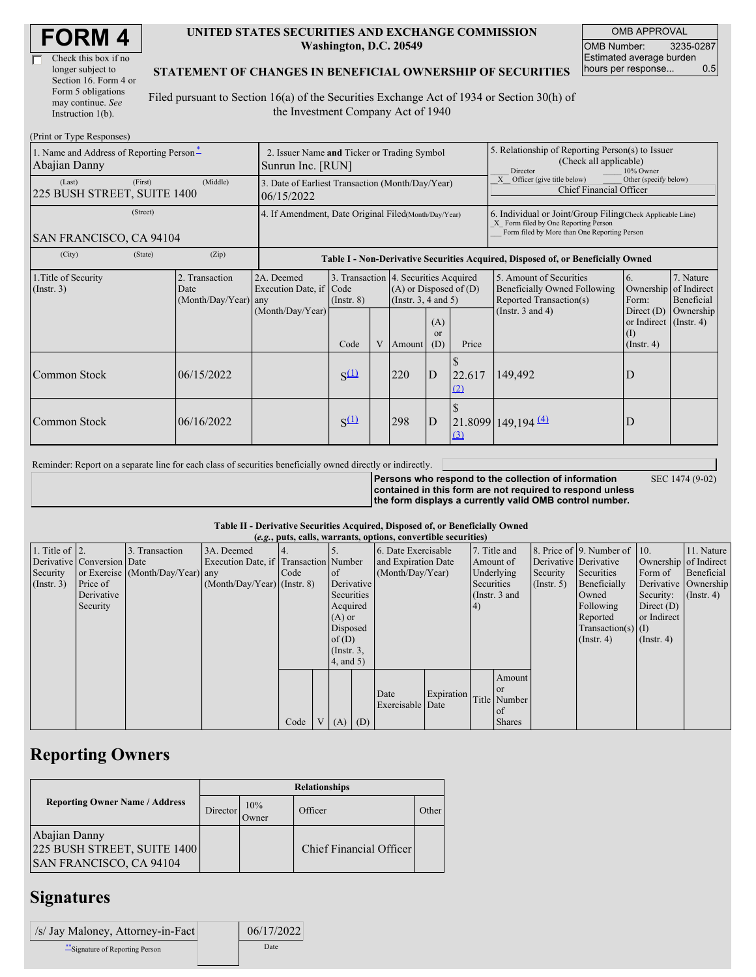| Check this box if no  |  |
|-----------------------|--|
| longer subject to     |  |
| Section 16. Form 4 or |  |
| Form 5 obligations    |  |
| may continue. See     |  |
| Instruction 1(b).     |  |

#### **UNITED STATES SECURITIES AND EXCHANGE COMMISSION Washington, D.C. 20549**

OMB APPROVAL OMB Number: 3235-0287 Estimated average burden hours per response... 0.5

#### **STATEMENT OF CHANGES IN BENEFICIAL OWNERSHIP OF SECURITIES**

Filed pursuant to Section 16(a) of the Securities Exchange Act of 1934 or Section 30(h) of the Investment Company Act of 1940

| (Print or Type Responses)                                 |                                                                  |                                                |                                                      |                                 |   |        |                                                                                                                                         |               |                                                                                                                                                    |                                                                                                       |                                                     |  |
|-----------------------------------------------------------|------------------------------------------------------------------|------------------------------------------------|------------------------------------------------------|---------------------------------|---|--------|-----------------------------------------------------------------------------------------------------------------------------------------|---------------|----------------------------------------------------------------------------------------------------------------------------------------------------|-------------------------------------------------------------------------------------------------------|-----------------------------------------------------|--|
| 1. Name and Address of Reporting Person-<br>Abajian Danny | 2. Issuer Name and Ticker or Trading Symbol<br>Sunrun Inc. [RUN] |                                                |                                                      |                                 |   |        | 5. Relationship of Reporting Person(s) to Issuer<br>(Check all applicable)<br>Director<br>10% Owner                                     |               |                                                                                                                                                    |                                                                                                       |                                                     |  |
| (Last)<br>225 BUSH STREET, SUITE 1400                     | 3. Date of Earliest Transaction (Month/Day/Year)<br>06/15/2022   |                                                |                                                      |                                 |   |        | X Officer (give title below)<br>Other (specify below)<br><b>Chief Financial Officer</b>                                                 |               |                                                                                                                                                    |                                                                                                       |                                                     |  |
| (Street)<br>SAN FRANCISCO, CA 94104                       |                                                                  |                                                | 4. If Amendment, Date Original Filed(Month/Day/Year) |                                 |   |        |                                                                                                                                         |               | 6. Individual or Joint/Group Filing(Check Applicable Line)<br>X Form filed by One Reporting Person<br>Form filed by More than One Reporting Person |                                                                                                       |                                                     |  |
| (City)                                                    | (State)                                                          | (Zip)                                          |                                                      |                                 |   |        |                                                                                                                                         |               | Table I - Non-Derivative Securities Acquired, Disposed of, or Beneficially Owned                                                                   |                                                                                                       |                                                     |  |
| 1. Title of Security<br>(Insert. 3)                       |                                                                  | 2. Transaction<br>Date<br>(Month/Day/Year) any | 2A. Deemed<br>Execution Date, if<br>(Month/Day/Year) | Code<br>$($ Instr. $8)$<br>Code | V | Amount | 3. Transaction 4. Securities Acquired<br>$(A)$ or Disposed of $(D)$<br>(Instr. $3, 4$ and $5$ )<br>(A)<br><sub>or</sub><br>(D)<br>Price |               | 5. Amount of Securities<br>Beneficially Owned Following<br>Reported Transaction(s)<br>(Instr. $3$ and $4$ )                                        | 6.<br>Ownership<br>Form:<br>Direct $(D)$<br>or Indirect $($ Instr. 4)<br>$\rm(I)$<br>$($ Instr. 4 $)$ | 7. Nature<br>of Indirect<br>Beneficial<br>Ownership |  |
| Common Stock                                              |                                                                  | 06/15/2022                                     |                                                      | $S^{(1)}$                       |   | 220    | D                                                                                                                                       | 22.617<br>(2) | 149,492                                                                                                                                            | D                                                                                                     |                                                     |  |
| <b>Common Stock</b>                                       |                                                                  | 06/16/2022                                     |                                                      | $S^{(1)}$                       |   | 298    | D                                                                                                                                       | (3)           | $21.8099$ 149,194 $\frac{(4)}{2}$                                                                                                                  | D                                                                                                     |                                                     |  |

Reminder: Report on a separate line for each class of securities beneficially owned directly or indirectly.

**Persons who respond to the collection of information contained in this form are not required to respond unless the form displays a currently valid OMB control number.**

SEC 1474 (9-02)

**Table II - Derivative Securities Acquired, Disposed of, or Beneficially Owned**

| (e.g., puts, calls, warrants, options, convertible securities) |                            |                                  |                                       |      |  |                 |                     |                     |            |                 |               |                       |                              |                  |                      |
|----------------------------------------------------------------|----------------------------|----------------------------------|---------------------------------------|------|--|-----------------|---------------------|---------------------|------------|-----------------|---------------|-----------------------|------------------------------|------------------|----------------------|
| 1. Title of $\vert$ 2.                                         |                            | 3. Transaction                   | 3A. Deemed                            |      |  |                 |                     | 6. Date Exercisable |            |                 | 7. Title and  |                       | 8. Price of 9. Number of 10. |                  | 11. Nature           |
|                                                                | Derivative Conversion Date |                                  | Execution Date, if Transaction Number |      |  |                 | and Expiration Date |                     | Amount of  |                 |               | Derivative Derivative | Ownership of Indirect        |                  |                      |
| Security                                                       |                            | or Exercise (Month/Day/Year) any |                                       | Code |  | $\circ$ f       |                     | (Month/Day/Year)    |            |                 | Underlying    | Security              | Securities                   | Form of          | Beneficial           |
| (Insert. 3)                                                    | Price of                   |                                  | $(Month/Day/Year)$ (Instr. 8)         |      |  | Derivative      |                     |                     |            | Securities      |               | $($ Instr. 5 $)$      | Beneficially                 |                  | Derivative Ownership |
|                                                                | Derivative                 |                                  |                                       |      |  | Securities      |                     |                     |            | (Instr. $3$ and |               |                       | Owned                        | Security:        | $($ Instr. 4 $)$     |
|                                                                | Security                   |                                  |                                       |      |  | Acquired        |                     |                     |            | (4)             |               |                       | Following                    | Direct $(D)$     |                      |
|                                                                |                            |                                  |                                       |      |  | $(A)$ or        |                     |                     |            |                 |               |                       | Reported                     | or Indirect      |                      |
|                                                                |                            |                                  |                                       |      |  | Disposed        |                     |                     |            |                 |               |                       | Transaction(s) $(I)$         |                  |                      |
|                                                                |                            |                                  |                                       |      |  | of(D)           |                     |                     |            |                 |               |                       | $($ Instr. 4)                | $($ Instr. 4 $)$ |                      |
|                                                                |                            |                                  |                                       |      |  | $($ Instr. $3,$ |                     |                     |            |                 |               |                       |                              |                  |                      |
|                                                                |                            |                                  |                                       |      |  | 4, and 5)       |                     |                     |            |                 |               |                       |                              |                  |                      |
|                                                                |                            |                                  |                                       |      |  |                 |                     |                     |            |                 | Amount        |                       |                              |                  |                      |
|                                                                |                            |                                  |                                       |      |  |                 |                     |                     |            |                 | or            |                       |                              |                  |                      |
|                                                                |                            |                                  |                                       |      |  |                 |                     | Date                | Expiration |                 | Title Number  |                       |                              |                  |                      |
|                                                                |                            |                                  |                                       |      |  |                 |                     | Exercisable Date    |            |                 | of            |                       |                              |                  |                      |
|                                                                |                            |                                  |                                       | Code |  | $(A)$ $(D)$     |                     |                     |            |                 | <b>Shares</b> |                       |                              |                  |                      |

## **Reporting Owners**

|                                                                         | <b>Relationships</b> |              |                         |       |  |  |  |  |
|-------------------------------------------------------------------------|----------------------|--------------|-------------------------|-------|--|--|--|--|
| <b>Reporting Owner Name / Address</b>                                   | Director             | 10%<br>Jwner | Officer                 | Other |  |  |  |  |
| Abajian Danny<br>225 BUSH STREET, SUITE 1400<br>SAN FRANCISCO, CA 94104 |                      |              | Chief Financial Officer |       |  |  |  |  |

### **Signatures**

| /s/ Jay Maloney, Attorney-in-Fact | 06/17/2022 |
|-----------------------------------|------------|
| ** Signature of Reporting Person  | Date       |